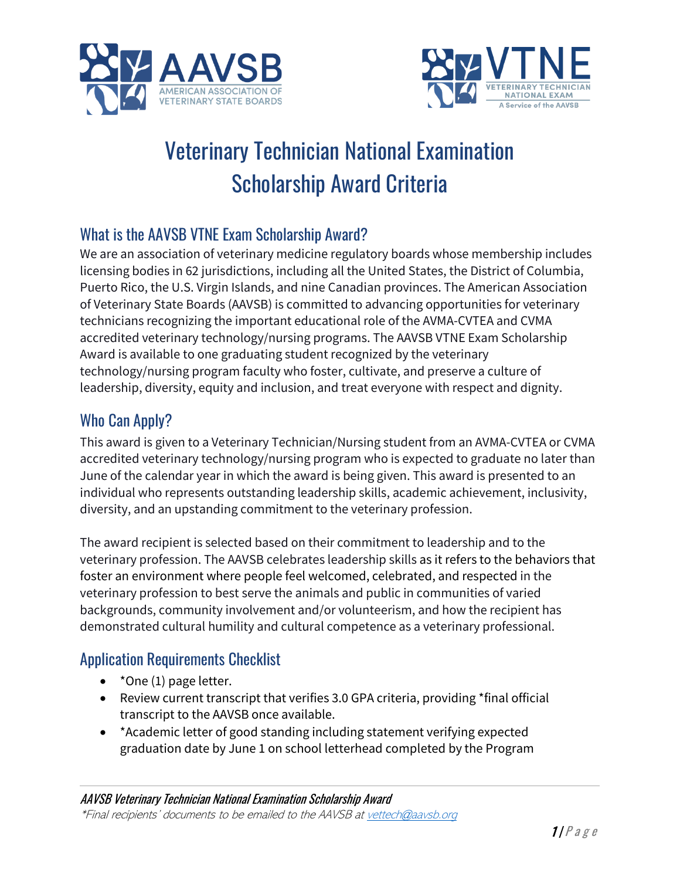



# Veterinary Technician National Examination Scholarship Award Criteria

## What is the AAVSB VTNE Exam Scholarship Award?

We are an association of veterinary medicine regulatory boards whose membership includes licensing bodies in 62 jurisdictions, including all the United States, the District of Columbia, Puerto Rico, the U.S. Virgin Islands, and nine Canadian provinces. The American Association of Veterinary State Boards (AAVSB) is committed to advancing opportunities for veterinary technicians recognizing the important educational role of the AVMA-CVTEA and CVMA accredited veterinary technology/nursing programs. The AAVSB VTNE Exam Scholarship Award is available to one graduating student recognized by the veterinary technology/nursing program faculty who foster, cultivate, and preserve a culture of leadership, diversity, equity and inclusion, and treat everyone with respect and dignity.

### Who Can Apply?

This award is given to a Veterinary Technician/Nursing student from an AVMA-CVTEA or CVMA accredited veterinary technology/nursing program who is expected to graduate no later than June of the calendar year in which the award is being given. This award is presented to an individual who represents outstanding leadership skills, academic achievement, inclusivity, diversity, and an upstanding commitment to the veterinary profession.

The award recipient is selected based on their commitment to leadership and to the veterinary profession. The AAVSB celebrates leadership skills as it refers to the behaviors that foster an environment where people feel welcomed, celebrated, and respected in the veterinary profession to best serve the animals and public in communities of varied backgrounds, community involvement and/or volunteerism, and how the recipient has demonstrated cultural humility and cultural competence as a veterinary professional.

### Application Requirements Checklist

- \*One (1) page letter.
- Review current transcript that verifies 3.0 GPA criteria, providing \*final official transcript to the AAVSB once available.
- \*Academic letter of good standing including statement verifying expected graduation date by June 1 on school letterhead completed by the Program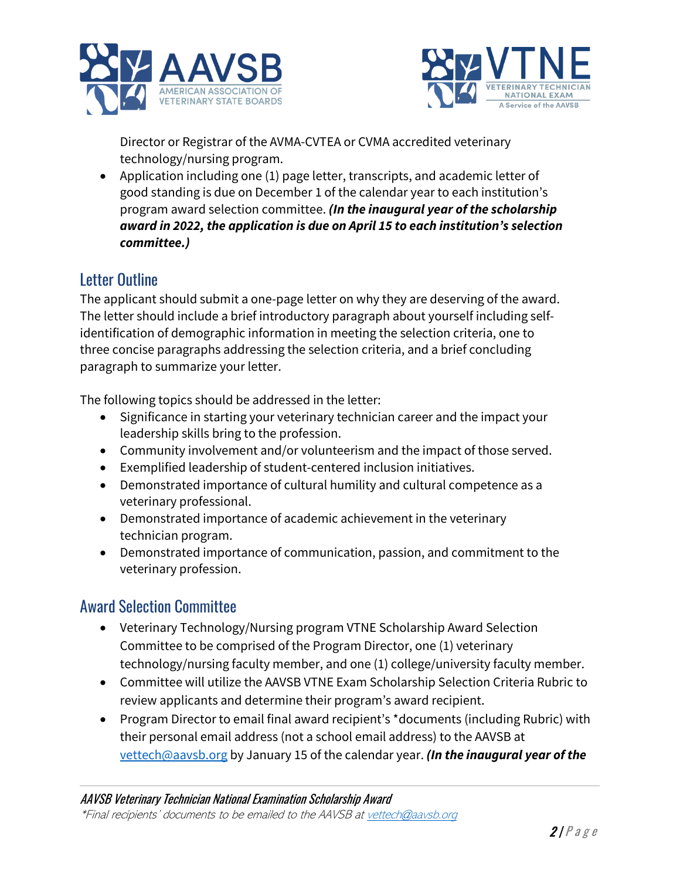



Director or Registrar of the AVMA-CVTEA or CVMA accredited veterinary technology/nursing program.

• Application including one (1) page letter, transcripts, and academic letter of good standing is due on December 1 of the calendar year to each institution's program award selection committee. *(In the inaugural year of the scholarship award in 2022, the application is due on April 15 to each institution's selection committee.)*

## Letter Outline

The applicant should submit a one-page letter on why they are deserving of the award. The letter should include a brief introductory paragraph about yourself including selfidentification of demographic information in meeting the selection criteria, one to three concise paragraphs addressing the selection criteria, and a brief concluding paragraph to summarize your letter.

The following topics should be addressed in the letter:

- Significance in starting your veterinary technician career and the impact your leadership skills bring to the profession.
- Community involvement and/or volunteerism and the impact of those served.
- Exemplified leadership of student-centered inclusion initiatives.
- Demonstrated importance of cultural humility and cultural competence as a veterinary professional.
- Demonstrated importance of academic achievement in the veterinary technician program.
- Demonstrated importance of communication, passion, and commitment to the veterinary profession.

### Award Selection Committee

- Veterinary Technology/Nursing program VTNE Scholarship Award Selection Committee to be comprised of the Program Director, one (1) veterinary technology/nursing faculty member, and one (1) college/university faculty member.
- Committee will utilize the AAVSB VTNE Exam Scholarship Selection Criteria Rubric to review applicants and determine their program's award recipient.
- Program Director to email final award recipient's \*documents (including Rubric) with their personal email address (not a school email address) to the AAVSB at [vettech@aavsb.org](mailto:vettech@aavsb.org) by January 15 of the calendar year. *(In the inaugural year of the*